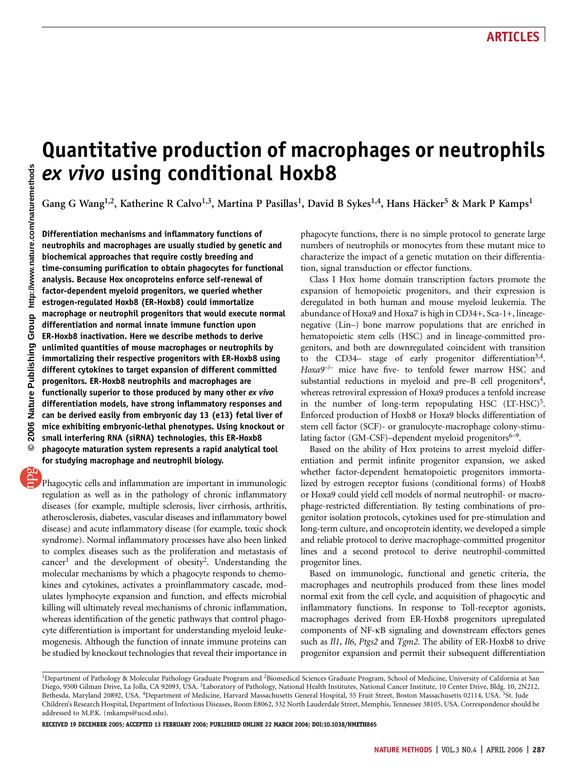# Quantitative production of macrophages or neutrophils ex vivo using conditional Hoxb8

Gang G Wang<sup>1,2</sup>, Katherine R Calvo<sup>1,3</sup>, Martina P Pasillas<sup>1</sup>, David B Sykes<sup>1,4</sup>, Hans Häcker<sup>5</sup> & Mark P Kamps<sup>1</sup>

Differentiation mechanisms and inflammatory functions of neutrophils and macrophages are usually studied by genetic and biochemical approaches that require costly breeding and time-consuming purification to obtain phagocytes for functional analysis. Because Hox oncoproteins enforce self-renewal of factor-dependent myeloid progenitors, we queried whether estrogen-regulated Hoxb8 (ER-Hoxb8) could immortalize macrophage or neutrophil progenitors that would execute normal differentiation and normal innate immune function upon ER-Hoxb8 inactivation. Here we describe methods to derive unlimited quantities of mouse macrophages or neutrophils by immortalizing their respective progenitors with ER-Hoxb8 using different cytokines to target expansion of different committed progenitors. ER-Hoxb8 neutrophils and macrophages are functionally superior to those produced by many other ex vivo differentiation models, have strong inflammatory responses and can be derived easily from embryonic day 13 (e13) fetal liver of mice exhibiting embryonic-lethal phenotypes. Using knockout or small interfering RNA (siRNA) technologies, this ER-Hoxb8 phagocyte maturation system represents a rapid analytical tool for studying macrophage and neutrophil biology.

Phagocytic cells and inflammation are important in immunologic regulation as well as in the pathology of chronic inflammatory diseases (for example, multiple sclerosis, liver cirrhosis, arthritis, atherosclerosis, diabetes, vascular diseases and inflammatory bowel disease) and acute inflammatory disease (for example, toxic shock syndrome). Normal inflammatory processes have also been linked to complex diseases such as the proliferation and metastasis of cancer<sup>1</sup> and the development of obesity<sup>2</sup>. Understanding the molecular mechanisms by which a phagocyte responds to chemokines and cytokines, activates a proinflammatory cascade, modulates lymphocyte expansion and function, and effects microbial killing will ultimately reveal mechanisms of chronic inflammation, whereas identification of the genetic pathways that control phagocyte differentiation is important for understanding myeloid leukemogenesis. Although the function of innate immune proteins can be studied by knockout technologies that reveal their importance in phagocyte functions, there is no simple protocol to generate large numbers of neutrophils or monocytes from these mutant mice to characterize the impact of a genetic mutation on their differentiation, signal transduction or effector functions.

Class I Hox home domain transcription factors promote the expansion of hemopoietic progenitors, and their expression is deregulated in both human and mouse myeloid leukemia. The abundance of Hoxa9 and Hoxa7 is high in CD34+, Sca-1+, lineagenegative (Lin–) bone marrow populations that are enriched in hematopoietic stem cells (HSC) and in lineage-committed progenitors, and both are downregulated coincident with transition to the CD34– stage of early progenitor differentiation<sup>3,4</sup>. Hoxa9<sup>-/-</sup> mice have five- to tenfold fewer marrow HSC and substantial reductions in myeloid and pre–B cell progenitors $4$ , whereas retroviral expression of Hoxa9 produces a tenfold increase in the number of long-term repopulating HSC (LT-HSC)<sup>5</sup>. Enforced production of Hoxb8 or Hoxa9 blocks differentiation of stem cell factor (SCF)- or granulocyte-macrophage colony-stimulating factor (GM-CSF)–dependent myeloid progenitors $6-9$ .

Based on the ability of Hox proteins to arrest myeloid differentiation and permit infinite progenitor expansion, we asked whether factor-dependent hematopoietic progenitors immortalized by estrogen receptor fusions (conditional forms) of Hoxb8 or Hoxa9 could yield cell models of normal neutrophil- or macrophage-restricted differentiation. By testing combinations of progenitor isolation protocols, cytokines used for pre-stimulation and long-term culture, and oncoprotein identity, we developed a simple and reliable protocol to derive macrophage-committed progenitor lines and a second protocol to derive neutrophil-committed progenitor lines.

Based on immunologic, functional and genetic criteria, the macrophages and neutrophils produced from these lines model normal exit from the cell cycle, and acquisition of phagocytic and inflammatory functions. In response to Toll-receptor agonists, macrophages derived from ER-Hoxb8 progenitors upregulated components of NF-kB signaling and downstream effectors genes such as Il1, Il6, Ptgs2 and Tgm2. The ability of ER-Hoxb8 to drive progenitor expansion and permit their subsequent differentiation

RECEIVED 19 DECEMBER 2005; ACCEPTED 13 FEBRUARY 2006; PUBLISHED ONLINE 22 MARCH 2006; DOI:10.1038/NMETH865

<sup>&</sup>lt;sup>1</sup>Department of Pathology & Molecular Pathology Graduate Program and <sup>2</sup>Biomedical Sciences Graduate Program, School of Medicine, University of California at San Diego, 9500 Gilman Drive, La Jolla, CA 92093, USA. <sup>3</sup>Laboratory of Pathology, National Health Institutes, National Cancer Institute, 10 Center Drive, Bldg. 10, 2N212, Bethesda, Maryland 20892, USA. <sup>4</sup>Department of Medicine, Harvard Massachusetts General Hospital, 55 Fruit Street, Boston Massachusetts 02114, USA. <sup>5</sup>St. Jude Children's Research Hospital, Department of Infectious Diseases, Room E8062, 332 North Lauderdale Street, Memphis, Tennessee 38105, USA. Correspondence should be addressed to M.P.K. (mkamps@ucsd.edu).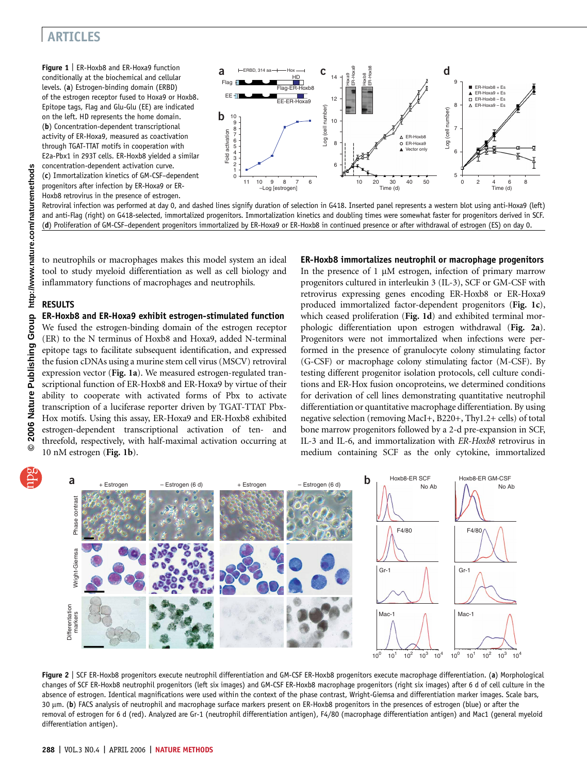# ARTICLES

Figure 1 | ER-Hoxb8 and ER-Hoxa9 function conditionally at the biochemical and cellular levels. (a) Estrogen-binding domain (ERBD) of the estrogen receptor fused to Hoxa9 or Hoxb8. Epitope tags, Flag and Glu-Glu (EE) are indicated on the left. HD represents the home domain. (b) Concentration-dependent transcriptional activity of ER-Hoxa9, measured as coactivation through TGAT-TTAT motifs in cooperation with E2a-Pbx1 in 293T cells. ER-Hoxb8 yielded a similar concentration-dependent activation curve. (c) Immortalization kinetics of GM-CSF–dependent progenitors after infection by ER-Hoxa9 or ER-Hoxb8 retrovirus in the presence of estrogen.



Retroviral infection was performed at day 0, and dashed lines signify duration of selection in G418. Inserted panel represents a western blot using anti-Hoxa9 (left) and anti-Flag (right) on G418-selected, immortalized progenitors. Immortalization kinetics and doubling times were somewhat faster for progenitors derived in SCF. (d) Proliferation of GM-CSF–dependent progenitors immortalized by ER-Hoxa9 or ER-Hoxb8 in continued presence or after withdrawal of estrogen (ES) on day 0.

to neutrophils or macrophages makes this model system an ideal tool to study myeloid differentiation as well as cell biology and inflammatory functions of macrophages and neutrophils.

### RESULTS

ER-Hoxb8 and ER-Hoxa9 exhibit estrogen-stimulated function We fused the estrogen-binding domain of the estrogen receptor (ER) to the N terminus of Hoxb8 and Hoxa9, added N-terminal epitope tags to facilitate subsequent identification, and expressed the fusion cDNAs using a murine stem cell virus (MSCV) retroviral expression vector (Fig. 1a). We measured estrogen-regulated transcriptional function of ER-Hoxb8 and ER-Hoxa9 by virtue of their ability to cooperate with activated forms of Pbx to activate transcription of a luciferase reporter driven by TGAT-TTAT Pbx-Hox motifs. Using this assay, ER-Hoxa9 and ER-Hoxb8 exhibited estrogen-dependent transcriptional activation of ten- and threefold, respectively, with half-maximal activation occurring at 10 nM estrogen (Fig. 1b).

### ER-Hoxb8 immortalizes neutrophil or macrophage progenitors

In the presence of  $1 \mu$ M estrogen, infection of primary marrow progenitors cultured in interleukin 3 (IL-3), SCF or GM-CSF with retrovirus expressing genes encoding ER-Hoxb8 or ER-Hoxa9 produced immortalized factor-dependent progenitors (Fig. 1c), which ceased proliferation (Fig. 1d) and exhibited terminal morphologic differentiation upon estrogen withdrawal (Fig. 2a). Progenitors were not immortalized when infections were performed in the presence of granulocyte colony stimulating factor (G-CSF) or macrophage colony stimulating factor (M-CSF). By testing different progenitor isolation protocols, cell culture conditions and ER-Hox fusion oncoproteins, we determined conditions for derivation of cell lines demonstrating quantitative neutrophil differentiation or quantitative macrophage differentiation. By using negative selection (removing MacI+, B220+, Thy1.2+ cells) of total bone marrow progenitors followed by a 2-d pre-expansion in SCF, IL-3 and IL-6, and immortalization with ER-Hoxb8 retrovirus in medium containing SCF as the only cytokine, immortalized



Figure 2 | SCF ER-Hoxb8 progenitors execute neutrophil differentiation and GM-CSF ER-Hoxb8 progenitors execute macrophage differentiation. (a) Morphological changes of SCF ER-Hoxb8 neutrophil progenitors (left six images) and GM-CSF ER-Hoxb8 macrophage progenitors (right six images) after 6 d of cell culture in the absence of estrogen. Identical magnifications were used within the context of the phase contrast, Wright-Giemsa and differentiation marker images. Scale bars, 30 µm. (b) FACS analysis of neutrophil and macrophage surface markers present on ER-Hoxb8 progenitors in the presences of estrogen (blue) or after the removal of estrogen for 6 d (red). Analyzed are Gr-1 (neutrophil differentiation antigen), F4/80 (macrophage differentiation antigen) and Mac1 (general myeloid differentiation antigen).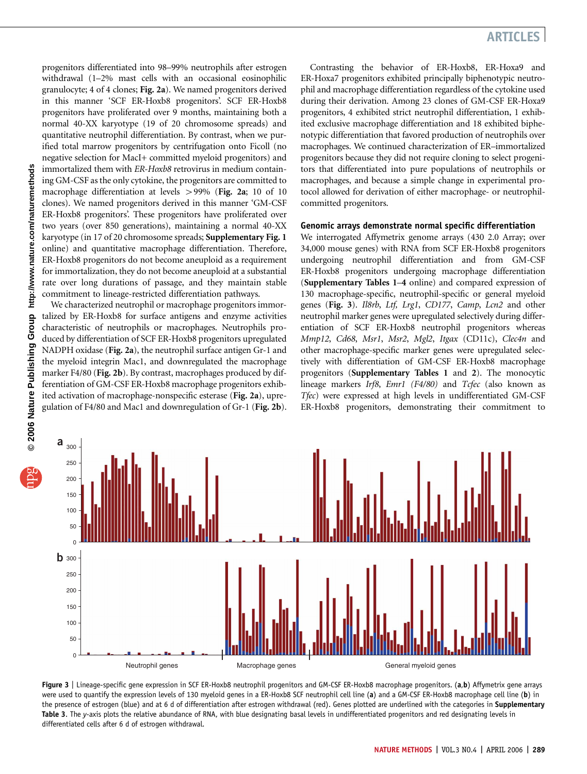progenitors differentiated into 98–99% neutrophils after estrogen withdrawal (1–2% mast cells with an occasional eosinophilic granulocyte; 4 of 4 clones; Fig. 2a). We named progenitors derived in this manner 'SCF ER-Hoxb8 progenitors'. SCF ER-Hoxb8 progenitors have proliferated over 9 months, maintaining both a normal 40-XX karyotype (19 of 20 chromosome spreads) and quantitative neutrophil differentiation. By contrast, when we purified total marrow progenitors by centrifugation onto Ficoll (no negative selection for MacI+ committed myeloid progenitors) and immortalized them with ER-Hoxb8 retrovirus in medium containing GM-CSF as the only cytokine, the progenitors are committed to macrophage differentiation at levels  $>$  99% (Fig. 2a; 10 of 10 clones). We named progenitors derived in this manner 'GM-CSF ER-Hoxb8 progenitors'. These progenitors have proliferated over two years (over 850 generations), maintaining a normal 40-XX karyotype (in 17 of 20 chromosome spreads; Supplementary Fig. 1 online) and quantitative macrophage differentiation. Therefore, ER-Hoxb8 progenitors do not become aneuploid as a requirement for immortalization, they do not become aneuploid at a substantial rate over long durations of passage, and they maintain stable commitment to lineage-restricted differentiation pathways.

We characterized neutrophil or macrophage progenitors immortalized by ER-Hoxb8 for surface antigens and enzyme activities characteristic of neutrophils or macrophages. Neutrophils produced by differentiation of SCF ER-Hoxb8 progenitors upregulated NADPH oxidase (Fig. 2a), the neutrophil surface antigen Gr-1 and the myeloid integrin Mac1, and downregulated the macrophage marker F4/80 (Fig. 2b). By contrast, macrophages produced by differentiation of GM-CSF ER-Hoxb8 macrophage progenitors exhibited activation of macrophage-nonspecific esterase (Fig. 2a), upregulation of F4/80 and Mac1 and downregulation of Gr-1 (Fig. 2b).

# ARTICLES

Contrasting the behavior of ER-Hoxb8, ER-Hoxa9 and ER-Hoxa7 progenitors exhibited principally biphenotypic neutrophil and macrophage differentiation regardless of the cytokine used during their derivation. Among 23 clones of GM-CSF ER-Hoxa9 progenitors, 4 exhibited strict neutrophil differentiation, 1 exhibited exclusive macrophage differentiation and 18 exhibited biphenotypic differentiation that favored production of neutrophils over macrophages. We continued characterization of ER–immortalized progenitors because they did not require cloning to select progenitors that differentiated into pure populations of neutrophils or macrophages, and because a simple change in experimental protocol allowed for derivation of either macrophage- or neutrophilcommitted progenitors.

### Genomic arrays demonstrate normal specific differentiation

We interrogated Affymetrix genome arrays (430 2.0 Array; over 34,000 mouse genes) with RNA from SCF ER-Hoxb8 progenitors undergoing neutrophil differentiation and from GM-CSF ER-Hoxb8 progenitors undergoing macrophage differentiation (Supplementary Tables 1–4 online) and compared expression of 130 macrophage-specific, neutrophil-specific or general myeloid genes (Fig. 3). Il8rb, Ltf, Lrg1, CD177, Camp, Lcn2 and other neutrophil marker genes were upregulated selectively during differentiation of SCF ER-Hoxb8 neutrophil progenitors whereas Mmp12, Cd68, Msr1, Msr2, Mgl2, Itgax (CD11c), Clec4n and other macrophage-specific marker genes were upregulated selectively with differentiation of GM-CSF ER-Hoxb8 macrophage progenitors (Supplementary Tables 1 and 2). The monocytic lineage markers Irf8, Emr1 (F4/80) and Tcfec (also known as Tfec) were expressed at high levels in undifferentiated GM-CSF ER-Hoxb8 progenitors, demonstrating their commitment to



Figure 3 | Lineage-specific gene expression in SCF ER-Hoxb8 neutrophil progenitors and GM-CSF ER-Hoxb8 macrophage progenitors. (a,b) Affymetrix gene arrays were used to quantify the expression levels of 130 myeloid genes in a ER-Hoxb8 SCF neutrophil cell line (a) and a GM-CSF ER-Hoxb8 macrophage cell line (b) in the presence of estrogen (blue) and at 6 d of differentiation after estrogen withdrawal (red). Genes plotted are underlined with the categories in Supplementary Table 3. The y-axis plots the relative abundance of RNA, with blue designating basal levels in undifferentiated progenitors and red designating levels in differentiated cells after 6 d of estrogen withdrawal.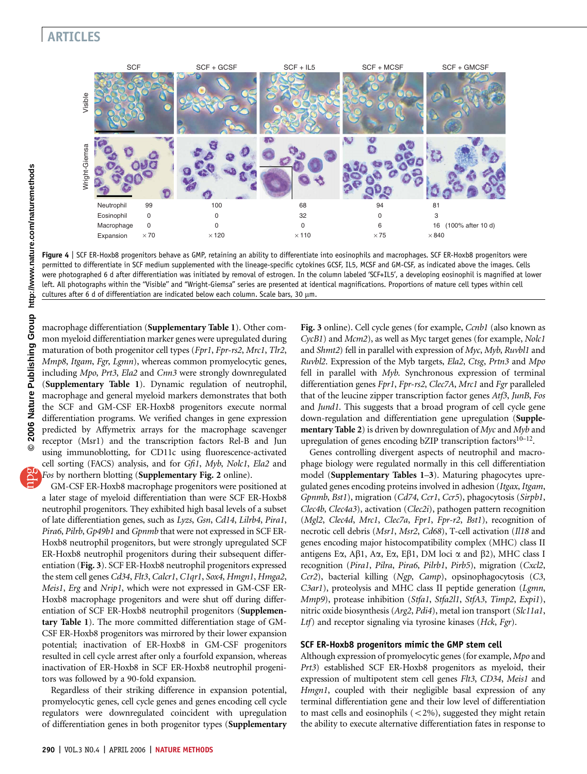# ARTICLES



Figure 4 | SCF ER-Hoxb8 progenitors behave as GMP, retaining an ability to differentiate into eosinophils and macrophages. SCF ER-Hoxb8 progenitors were permitted to differentiate in SCF medium supplemented with the lineage-specific cytokines GCSF, IL5, MCSF and GM-CSF, as indicated above the images. Cells were photographed 6 d after differentiation was initiated by removal of estrogen. In the column labeled 'SCF+IL5', a developing eosinophil is magnified at lower left. All photographs within the ''Visible'' and ''Wright-Giemsa'' series are presented at identical magnifications. Proportions of mature cell types within cell cultures after 6 d of differentiation are indicated below each column. Scale bars, 30 µm.

macrophage differentiation (Supplementary Table 1). Other common myeloid differentiation marker genes were upregulated during maturation of both progenitor cell types (Fpr1, Fpr-rs2, Mrc1, Tlr2, Mmp8, Itgam, Fgr, Lgmn), whereas common promyelocytic genes, including *Mpo*, *Prt3*, *Ela2* and *Cnn3* were strongly downregulated (Supplementary Table 1). Dynamic regulation of neutrophil, macrophage and general myeloid markers demonstrates that both the SCF and GM-CSF ER-Hoxb8 progenitors execute normal differentiation programs. We verified changes in gene expression predicted by Affymetrix arrays for the macrophage scavenger receptor (Msr1) and the transcription factors Rel-B and Jun using immunoblotting, for CD11c using fluorescence-activated cell sorting (FACS) analysis, and for Gfi1, Myb, Nolc1, Ela2 and Fos by northern blotting (Supplementary Fig. 2 online).

GM-CSF ER-Hoxb8 macrophage progenitors were positioned at a later stage of myeloid differentiation than were SCF ER-Hoxb8 neutrophil progenitors. They exhibited high basal levels of a subset of late differentiation genes, such as Lyzs, Gsn, Cd14, Lilrb4, Pira1, Pira6, Pilrb, Gp49b1 and Gpnmb that were not expressed in SCF ER-Hoxb8 neutrophil progenitors, but were strongly upregulated SCF ER-Hoxb8 neutrophil progenitors during their subsequent differentiation (Fig. 3). SCF ER-Hoxb8 neutrophil progenitors expressed the stem cell genes Cd34, Flt3, Calcr1, C1qr1, Sox4, Hmgn1, Hmga2, Meis1, Erg and Nrip1, which were not expressed in GM-CSF ER-Hoxb8 macrophage progenitors and were shut off during differentiation of SCF ER-Hoxb8 neutrophil progenitors (Supplementary Table 1). The more committed differentiation stage of GM-CSF ER-Hoxb8 progenitors was mirrored by their lower expansion potential; inactivation of ER-Hoxb8 in GM-CSF progenitors resulted in cell cycle arrest after only a fourfold expansion, whereas inactivation of ER-Hoxb8 in SCF ER-Hoxb8 neutrophil progenitors was followed by a 90-fold expansion.

Regardless of their striking difference in expansion potential, promyelocytic genes, cell cycle genes and genes encoding cell cycle regulators were downregulated coincident with upregulation of differentiation genes in both progenitor types (Supplementary Fig. 3 online). Cell cycle genes (for example, Ccnb1 (also known as CycB1) and Mcm2), as well as Myc target genes (for example, Nolc1 and Shmt2) fell in parallel with expression of  $Myc$ ,  $Myb$ ,  $Ruvbl1$  and Ruvbl2. Expression of the Myb targets, Ela2, Ctsg, Prtn3 and Mpo fell in parallel with Myb. Synchronous expression of terminal differentiation genes Fpr1, Fpr-rs2, Clec7A, Mrc1 and Fgr paralleled that of the leucine zipper transcription factor genes Atf3, JunB, Fos and Jund1. This suggests that a broad program of cell cycle gene down-regulation and differentiation gene upregulation (Supple**mentary Table 2**) is driven by downregulation of  $Myc$  and  $Myb$  and upregulation of genes encoding bZIP transcription factors $10-12$ .

Genes controlling divergent aspects of neutrophil and macrophage biology were regulated normally in this cell differentiation model (Supplementary Tables 1–3). Maturing phagocytes upregulated genes encoding proteins involved in adhesion (Itgax, Itgam, Gpnmb, Bst1), migration (Cd74, Ccr1, Ccr5), phagocytosis (Sirpb1, Clec4b, Clec4a3), activation (Clec2i), pathogen pattern recognition (Mgl2, Clec4d, Mrc1, Clec7a, Fpr1, Fpr-r2, Bst1), recognition of necrotic cell debris (Msr1, Msr2, Cd68), T-cell activation (Il18 and genes encoding major histocompatibility complex (MHC) class II antigens E $\alpha$ , A $\beta$ 1, A $\alpha$ , E $\alpha$ , E $\beta$ 1, DM loci  $\alpha$  and  $\beta$ 2), MHC class I recognition (Pira1, Pilra, Pira6, Pilrb1, Pirb5), migration (Cxcl2, Ccr2), bacterial killing (Ngp, Camp), opsinophagocytosis (C3, C3ar1), proteolysis and MHC class II peptide generation (Lgmn, Mmp9), protease inhibition (Stfa1, Stfa2l1, StfA3, Timp2, Expi1), nitric oxide biosynthesis (Arg2, Pdi4), metal ion transport (Slc11a1, Ltf) and receptor signaling via tyrosine kinases (Hck, Fgr).

### SCF ER-Hoxb8 progenitors mimic the GMP stem cell

Although expression of promyelocytic genes (for example, Mpo and Prt3) established SCF ER-Hoxb8 progenitors as myeloid, their expression of multipotent stem cell genes Flt3, CD34, Meis1 and Hmgn1, coupled with their negligible basal expression of any terminal differentiation gene and their low level of differentiation to mast cells and eosinophils (<2%), suggested they might retain the ability to execute alternative differentiation fates in response to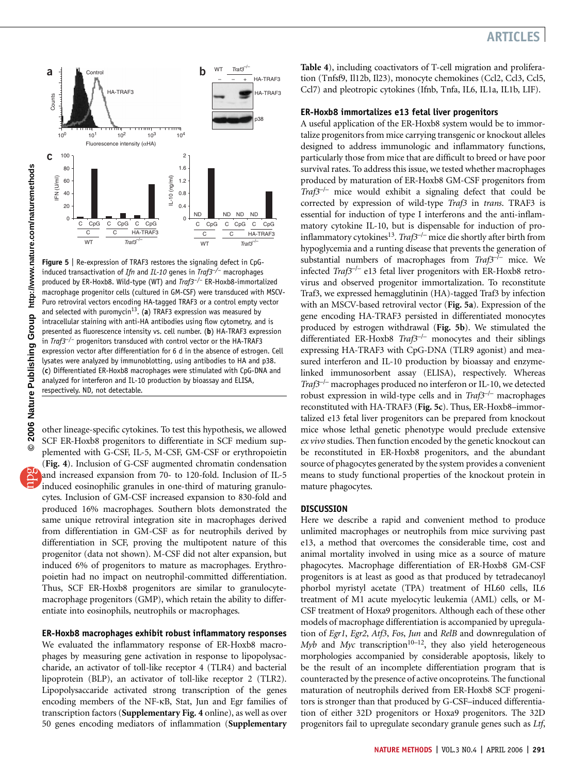

Figure 5 | Re-expression of TRAF3 restores the signaling defect in CpGinduced transactivation of Ifn and IL-10 genes in Traf3<sup>-/-</sup> macrophages produced by ER-Hoxb8. Wild-type (WT) and Traf3<sup>-/-</sup> ER-Hoxb8-immortalized macrophage progenitor cells (cultured in GM-CSF) were transduced with MSCV-Puro retroviral vectors encoding HA-tagged TRAF3 or a control empty vector and selected with puromycin<sup>13</sup>. (a) TRAF3 expression was measured by intracellular staining with anti-HA antibodies using flow cytometry, and is presented as fluorescence intensity vs. cell number. (b) HA-TRAF3 expression in  $Traf3^{-/-}$  progenitors transduced with control vector or the HA-TRAF3 expression vector after differentiation for 6 d in the absence of estrogen. Cell lysates were analyzed by immunoblotting, using antibodies to HA and p38. (c) Differentiated ER-Hoxb8 macrophages were stimulated with CpG-DNA and analyzed for interferon and IL-10 production by bioassay and ELISA, respectively. ND, not detectable.

other lineage-specific cytokines. To test this hypothesis, we allowed SCF ER-Hoxb8 progenitors to differentiate in SCF medium supplemented with G-CSF, IL-5, M-CSF, GM-CSF or erythropoietin (Fig. 4). Inclusion of G-CSF augmented chromatin condensation and increased expansion from 70- to 120-fold. Inclusion of IL-5 induced eosinophilic granules in one-third of maturing granulocytes. Inclusion of GM-CSF increased expansion to 830-fold and produced 16% macrophages. Southern blots demonstrated the same unique retroviral integration site in macrophages derived from differentiation in GM-CSF as for neutrophils derived by differentiation in SCF, proving the multipotent nature of this progenitor (data not shown). M-CSF did not alter expansion, but induced 6% of progenitors to mature as macrophages. Erythropoietin had no impact on neutrophil-committed differentiation. Thus, SCF ER-Hoxb8 progenitors are similar to granulocytemacrophage progenitors (GMP), which retain the ability to differentiate into eosinophils, neutrophils or macrophages.

### ER-Hoxb8 macrophages exhibit robust inflammatory responses

We evaluated the inflammatory response of ER-Hoxb8 macrophages by measuring gene activation in response to lipopolysaccharide, an activator of toll-like receptor 4 (TLR4) and bacterial lipoprotein (BLP), an activator of toll-like receptor 2 (TLR2). Lipopolysaccaride activated strong transcription of the genes encoding members of the NF-kB, Stat, Jun and Egr families of transcription factors (Supplementary Fig. 4 online), as well as over 50 genes encoding mediators of inflammation (Supplementary

### **ARTICLES**

Table 4), including coactivators of T-cell migration and proliferation (Tnfsf9, Il12b, Il23), monocyte chemokines (Ccl2, Ccl3, Ccl5, Ccl7) and pleotropic cytokines (Ifnb, Tnfa, IL6, IL1a, IL1b, LIF).

### ER-Hoxb8 immortalizes e13 fetal liver progenitors

A useful application of the ER-Hoxb8 system would be to immortalize progenitors from mice carrying transgenic or knockout alleles designed to address immunologic and inflammatory functions, particularly those from mice that are difficult to breed or have poor survival rates. To address this issue, we tested whether macrophages produced by maturation of ER-Hoxb8 GM-CSF progenitors from Traf $3^{-/-}$  mice would exhibit a signaling defect that could be corrected by expression of wild-type Traf3 in trans. TRAF3 is essential for induction of type I interferons and the anti-inflammatory cytokine IL-10, but is dispensable for induction of proinflammatory cytokines<sup>13</sup>. Traf3<sup>-/-</sup> mice die shortly after birth from hypoglycemia and a runting disease that prevents the generation of substantial numbers of macrophages from  $Traf3^{-/-}$  mice. We infected  $Traf3^{-/-}$  e13 fetal liver progenitors with ER-Hoxb8 retrovirus and observed progenitor immortalization. To reconstitute Traf3, we expressed hemagglutinin (HA)-tagged Traf3 by infection with an MSCV-based retroviral vector (Fig. 5a). Expression of the gene encoding HA-TRAF3 persisted in differentiated monocytes produced by estrogen withdrawal (Fig. 5b). We stimulated the differentiated ER-Hoxb8  $Traf3^{-/-}$  monocytes and their siblings expressing HA-TRAF3 with CpG-DNA (TLR9 agonist) and measured interferon and IL-10 production by bioassay and enzymelinked immunosorbent assay (ELISA), respectively. Whereas  $Traf3^{-/-}$  macrophages produced no interferon or IL-10, we detected robust expression in wild-type cells and in  $Traf3^{-/-}$  macrophages reconstituted with HA-TRAF3 (Fig. 5c). Thus, ER-Hoxb8–immortalized e13 fetal liver progenitors can be prepared from knockout mice whose lethal genetic phenotype would preclude extensive ex vivo studies. Then function encoded by the genetic knockout can be reconstituted in ER-Hoxb8 progenitors, and the abundant source of phagocytes generated by the system provides a convenient means to study functional properties of the knockout protein in mature phagocytes.

### **DISCUSSION**

Here we describe a rapid and convenient method to produce unlimited macrophages or neutrophils from mice surviving past e13, a method that overcomes the considerable time, cost and animal mortality involved in using mice as a source of mature phagocytes. Macrophage differentiation of ER-Hoxb8 GM-CSF progenitors is at least as good as that produced by tetradecanoyl phorbol myristyl acetate (TPA) treatment of HL60 cells, IL6 treatment of M1 acute myelocytic leukemia (AML) cells, or M-CSF treatment of Hoxa9 progenitors. Although each of these other models of macrophage differentiation is accompanied by upregulation of Egr1, Egr2, Atf3, Fos, Jun and RelB and downregulation of  $Myb$  and  $Myc$  transcription<sup>10–12</sup>, they also yield heterogeneous morphologies accompanied by considerable apoptosis, likely to be the result of an incomplete differentiation program that is counteracted by the presence of active oncoproteins. The functional maturation of neutrophils derived from ER-Hoxb8 SCF progenitors is stronger than that produced by G-CSF–induced differentiation of either 32D progenitors or Hoxa9 progenitors. The 32D progenitors fail to upregulate secondary granule genes such as Ltf,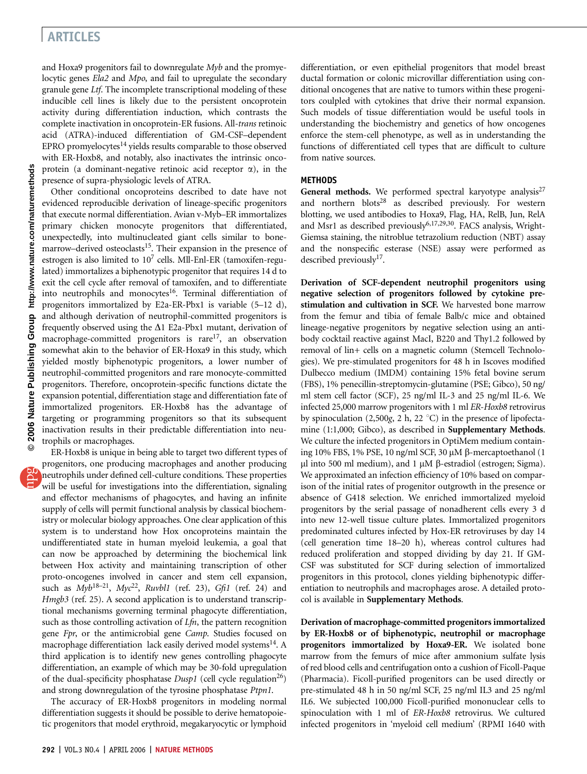## ARTICLES

and Hoxa9 progenitors fail to downregulate Myb and the promyelocytic genes Ela2 and Mpo, and fail to upregulate the secondary granule gene Ltf. The incomplete transcriptional modeling of these inducible cell lines is likely due to the persistent oncoprotein activity during differentiation induction, which contrasts the complete inactivation in oncoprotein-ER fusions. All-trans retinoic acid (ATRA)-induced differentiation of GM-CSF–dependent EPRO promyelocytes $^{14}$  yields results comparable to those observed with ER-Hoxb8, and notably, also inactivates the intrinsic oncoprotein (a dominant-negative retinoic acid receptor  $\alpha$ ), in the presence of supra-physiologic levels of ATRA.

Other conditional oncoproteins described to date have not evidenced reproducible derivation of lineage-specific progenitors that execute normal differentiation. Avian v-Myb–ER immortalizes primary chicken monocyte progenitors that differentiated, unexpectedly, into multinucleated giant cells similar to bonemarrow–derived osteoclasts<sup>15</sup>. Their expansion in the presence of estrogen is also limited to  $10<sup>7</sup>$  cells. Mll-Enl-ER (tamoxifen-regulated) immortalizes a biphenotypic progenitor that requires 14 d to exit the cell cycle after removal of tamoxifen, and to differentiate into neutrophils and monocytes<sup>16</sup>. Terminal differentiation of progenitors immortalized by E2a-ER-Pbx1 is variable (5–12 d), and although derivation of neutrophil-committed progenitors is frequently observed using the  $\Delta 1$  E2a-Pbx1 mutant, derivation of macrophage-committed progenitors is rare<sup>17</sup>, an observation somewhat akin to the behavior of ER-Hoxa9 in this study, which yielded mostly biphenotypic progenitors, a lower number of neutrophil-committed progenitors and rare monocyte-committed progenitors. Therefore, oncoprotein-specific functions dictate the expansion potential, differentiation stage and differentiation fate of immortalized progenitors. ER-Hoxb8 has the advantage of targeting or programming progenitors so that its subsequent inactivation results in their predictable differentiation into neutrophils or macrophages.

ER-Hoxb8 is unique in being able to target two different types of progenitors, one producing macrophages and another producing neutrophils under defined cell-culture conditions. These properties will be useful for investigations into the differentiation, signaling and effector mechanisms of phagocytes, and having an infinite supply of cells will permit functional analysis by classical biochemistry or molecular biology approaches. One clear application of this system is to understand how Hox oncoproteins maintain the undifferentiated state in human myeloid leukemia, a goal that can now be approached by determining the biochemical link between Hox activity and maintaining transcription of other proto-oncogenes involved in cancer and stem cell expansion, such as  $Myb^{18-21}$ ,  $Myc^{22}$ , Ruvbl1 (ref. 23), Gfi1 (ref. 24) and Hmgb3 (ref. 25). A second application is to understand transcriptional mechanisms governing terminal phagocyte differentiation, such as those controlling activation of  $Lfn$ , the pattern recognition gene Fpr, or the antimicrobial gene Camp. Studies focused on macrophage differentiation lack easily derived model systems<sup>14</sup>. A third application is to identify new genes controlling phagocyte differentiation, an example of which may be 30-fold upregulation of the dual-specificity phosphatase  $Dusp1$  (cell cycle regulation<sup>26</sup>) and strong downregulation of the tyrosine phosphatase Ptpn1.

The accuracy of ER-Hoxb8 progenitors in modeling normal differentiation suggests it should be possible to derive hematopoietic progenitors that model erythroid, megakaryocytic or lymphoid

differentiation, or even epithelial progenitors that model breast ductal formation or colonic microvillar differentiation using conditional oncogenes that are native to tumors within these progenitors coulpled with cytokines that drive their normal expansion. Such models of tissue differentiation would be useful tools in understanding the biochemistry and genetics of how oncogenes enforce the stem-cell phenotype, as well as in understanding the functions of differentiated cell types that are difficult to culture from native sources.

### **METHODS**

General methods. We performed spectral karyotype analysis<sup>27</sup> and northern blots<sup>28</sup> as described previously. For western blotting, we used antibodies to Hoxa9, Flag, HA, RelB, Jun, RelA and Msr1 as described previously<sup>6,17,29,30</sup>. FACS analysis, Wright-Giemsa staining, the nitroblue tetrazolium reduction (NBT) assay and the nonspecific esterase (NSE) assay were performed as described previously $17$ .

Derivation of SCF-dependent neutrophil progenitors using negative selection of progenitors followed by cytokine prestimulation and cultivation in SCF. We harvested bone marrow from the femur and tibia of female Balb/c mice and obtained lineage-negative progenitors by negative selection using an antibody cocktail reactive against MacI, B220 and Thy1.2 followed by removal of lin+ cells on a magnetic column (Stemcell Technologies). We pre-stimulated progenitors for 48 h in Iscoves modified Dulbecco medium (IMDM) containing 15% fetal bovine serum (FBS), 1% penecillin-streptomycin-glutamine (PSE; Gibco), 50 ng/ ml stem cell factor (SCF), 25 ng/ml IL-3 and 25 ng/ml IL-6. We infected 25,000 marrow progenitors with 1 ml ER-Hoxb8 retrovirus by spinoculation (2,500g, 2 h, 22 $^{\circ}$ C) in the presence of lipofectamine (1:1,000; Gibco), as described in **Supplementary Methods**. We culture the infected progenitors in OptiMem medium containing 10% FBS, 1% PSE, 10 ng/ml SCF, 30  $\mu$ M  $\beta$ -mercaptoethanol (1 μl into 500 ml medium), and 1 μM β-estradiol (estrogen; Sigma). We approximated an infection efficiency of 10% based on comparison of the initial rates of progenitor outgrowth in the presence or absence of G418 selection. We enriched immortalized myeloid progenitors by the serial passage of nonadherent cells every 3 d into new 12-well tissue culture plates. Immortalized progenitors predominated cultures infected by Hox-ER retroviruses by day 14 (cell generation time 18–20 h), whereas control cultures had reduced proliferation and stopped dividing by day 21. If GM-CSF was substituted for SCF during selection of immortalized progenitors in this protocol, clones yielding biphenotypic differentiation to neutrophils and macrophages arose. A detailed protocol is available in Supplementary Methods.

Derivation of macrophage-committed progenitors immortalized by ER-Hoxb8 or of biphenotypic, neutrophil or macrophage progenitors immortalized by Hoxa9-ER. We isolated bone marrow from the femurs of mice after ammonium sulfate lysis of red blood cells and centrifugation onto a cushion of Ficoll-Paque (Pharmacia). Ficoll-purified progenitors can be used directly or pre-stimulated 48 h in 50 ng/ml SCF, 25 ng/ml IL3 and 25 ng/ml IL6. We subjected 100,000 Ficoll-purified mononuclear cells to spinoculation with 1 ml of ER-Hoxb8 retrovirus. We cultured infected progenitors in 'myeloid cell medium' (RPMI 1640 with